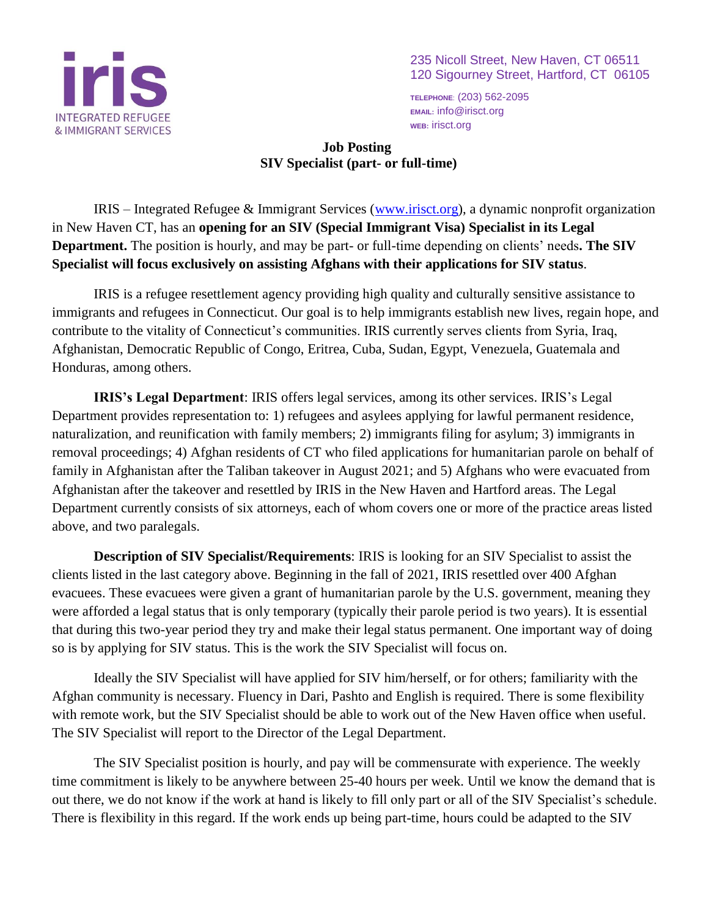

235 Nicoll Street, New Haven, CT 06511 120 Sigourney Street, Hartford, CT 06105

**TELEPHONE**: (203) 562-2095 **EMAIL:** info@irisct.org **WEB:** irisct.org

## **Job Posting SIV Specialist (part- or full-time)**

IRIS – Integrated Refugee & Immigrant Services [\(www.irisct.org\)](about:blank), a dynamic nonprofit organization in New Haven CT, has an **opening for an SIV (Special Immigrant Visa) Specialist in its Legal Department.** The position is hourly, and may be part- or full-time depending on clients' needs**. The SIV Specialist will focus exclusively on assisting Afghans with their applications for SIV status**.

IRIS is a refugee resettlement agency providing high quality and culturally sensitive assistance to immigrants and refugees in Connecticut. Our goal is to help immigrants establish new lives, regain hope, and contribute to the vitality of Connecticut's communities. IRIS currently serves clients from Syria, Iraq, Afghanistan, Democratic Republic of Congo, Eritrea, Cuba, Sudan, Egypt, Venezuela, Guatemala and Honduras, among others.

**IRIS's Legal Department**: IRIS offers legal services, among its other services. IRIS's Legal Department provides representation to: 1) refugees and asylees applying for lawful permanent residence, naturalization, and reunification with family members; 2) immigrants filing for asylum; 3) immigrants in removal proceedings; 4) Afghan residents of CT who filed applications for humanitarian parole on behalf of family in Afghanistan after the Taliban takeover in August 2021; and 5) Afghans who were evacuated from Afghanistan after the takeover and resettled by IRIS in the New Haven and Hartford areas. The Legal Department currently consists of six attorneys, each of whom covers one or more of the practice areas listed above, and two paralegals.

**Description of SIV Specialist/Requirements**: IRIS is looking for an SIV Specialist to assist the clients listed in the last category above. Beginning in the fall of 2021, IRIS resettled over 400 Afghan evacuees. These evacuees were given a grant of humanitarian parole by the U.S. government, meaning they were afforded a legal status that is only temporary (typically their parole period is two years). It is essential that during this two-year period they try and make their legal status permanent. One important way of doing so is by applying for SIV status. This is the work the SIV Specialist will focus on.

Ideally the SIV Specialist will have applied for SIV him/herself, or for others; familiarity with the Afghan community is necessary. Fluency in Dari, Pashto and English is required. There is some flexibility with remote work, but the SIV Specialist should be able to work out of the New Haven office when useful. The SIV Specialist will report to the Director of the Legal Department.

The SIV Specialist position is hourly, and pay will be commensurate with experience. The weekly time commitment is likely to be anywhere between 25-40 hours per week. Until we know the demand that is out there, we do not know if the work at hand is likely to fill only part or all of the SIV Specialist's schedule. There is flexibility in this regard. If the work ends up being part-time, hours could be adapted to the SIV